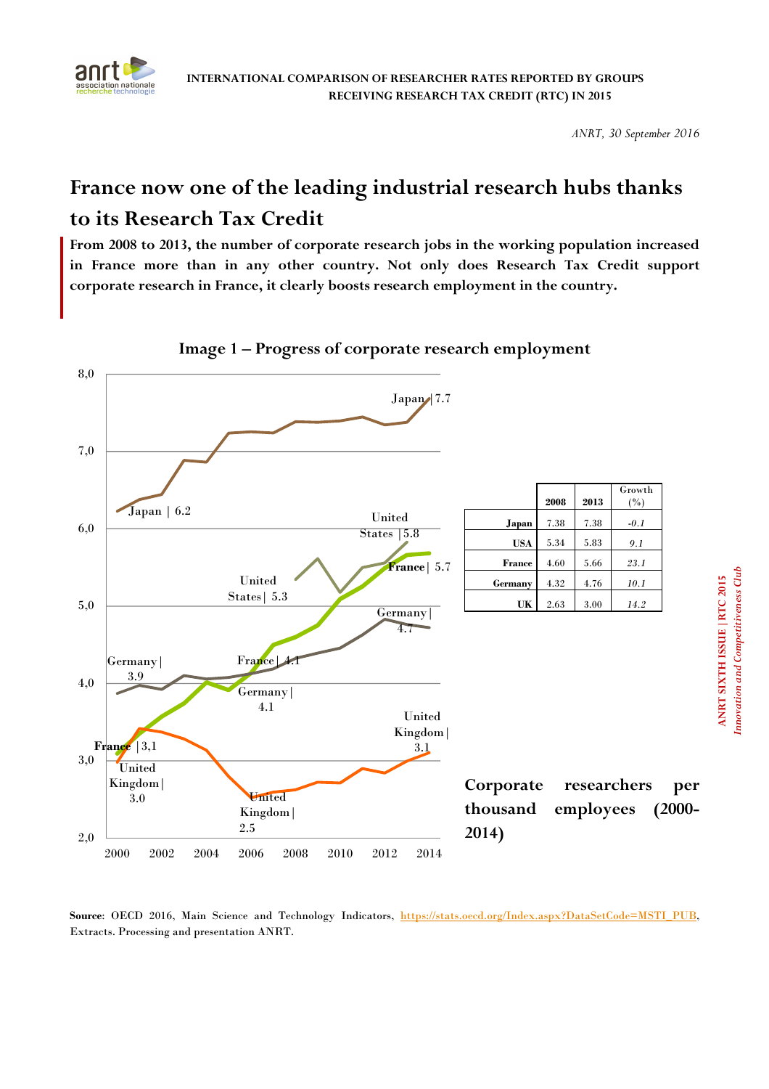

# **France now one of the leading industrial research hubs thanks to its Research Tax Credit**

**From 2008 to 2013, the number of corporate research jobs in the working population increased in France more than in any other country. Not only does Research Tax Credit support corporate research in France, it clearly boosts research employment in the country.** 



**Image 1 – Progress of corporate research employment** 

Source: OECD 2016, Main Science and Technology Indicators, https://stats.oecd.org/Index.aspx?DataSetCode=MSTI\_PUB, Extracts. Processing and presentation ANRT.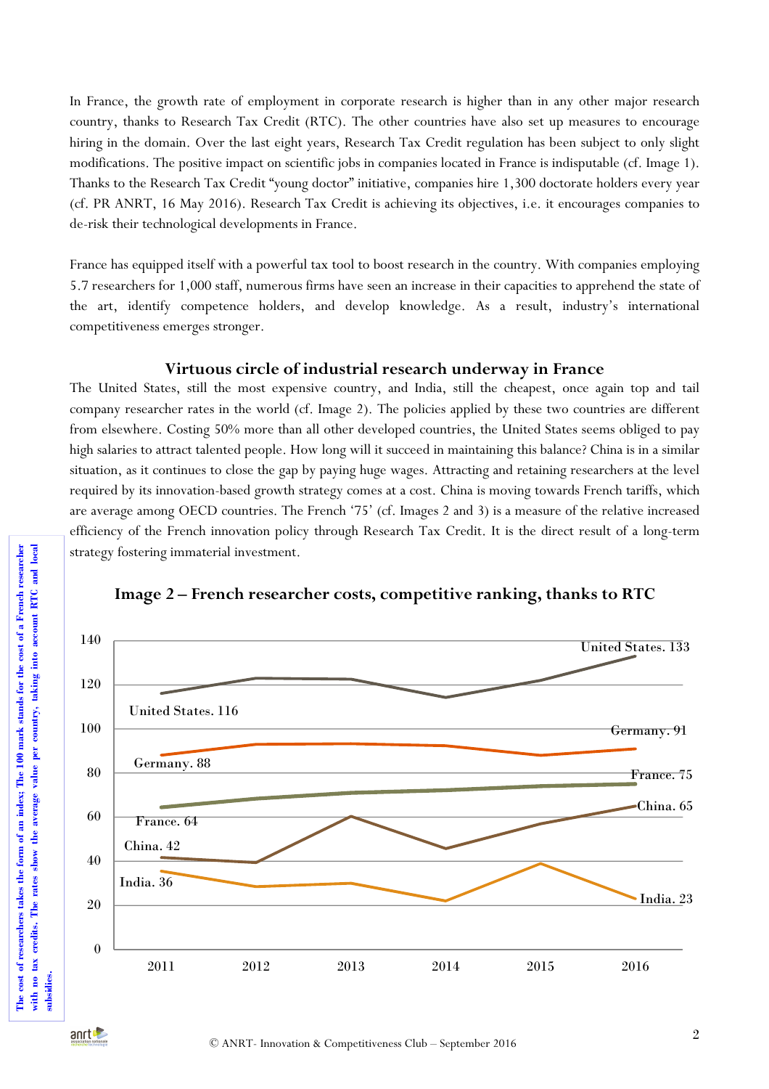In France, the growth rate of employment in corporate research is higher than in any other major research country, thanks to Research Tax Credit (RTC). The other countries have also set up measures to encourage hiring in the domain. Over the last eight years, Research Tax Credit regulation has been subject to only slight modifications. The positive impact on scientific jobs in companies located in France is indisputable (cf. Image 1). Thanks to the Research Tax Credit "young doctor" initiative, companies hire 1,300 doctorate holders every year (cf. PR ANRT, 16 May 2016). Research Tax Credit is achieving its objectives, i.e. it encourages companies to de-risk their technological developments in France.

France has equipped itself with a powerful tax tool to boost research in the country. With companies employing 5.7 researchers for 1,000 staff, numerous firms have seen an increase in their capacities to apprehend the state of the art, identify competence holders, and develop knowledge. As a result, industry's international competitiveness emerges stronger.

### **Virtuous circle of industrial research underway in France**

The United States, still the most expensive country, and India, still the cheapest, once again top and tail company researcher rates in the world (cf. Image 2). The policies applied by these two countries are different from elsewhere. Costing 50% more than all other developed countries, the United States seems obliged to pay high salaries to attract talented people. How long will it succeed in maintaining this balance? China is in a similar situation, as it continues to close the gap by paying huge wages. Attracting and retaining researchers at the level required by its innovation-based growth strategy comes at a cost. China is moving towards French tariffs, which are average among OECD countries. The French '75' (cf. Images 2 and 3) is a measure of the relative increased efficiency of the French innovation policy through Research Tax Credit. It is the direct result of a long-term strategy fostering immaterial investment.



## **Image 2 – French researcher costs, competitive ranking, thanks to RTC**

**The cost of researchers takes the form of an index; The 100 mark stands for the cost of a French researcher with no tax credits. The rates show the average value per country, taking into account RTC and local** 

The cost of researchers takes the form of an index; The 100 mark stands for the cost of a French researcher with no tax credits. The rates show the average value per country, taking into account RTC and local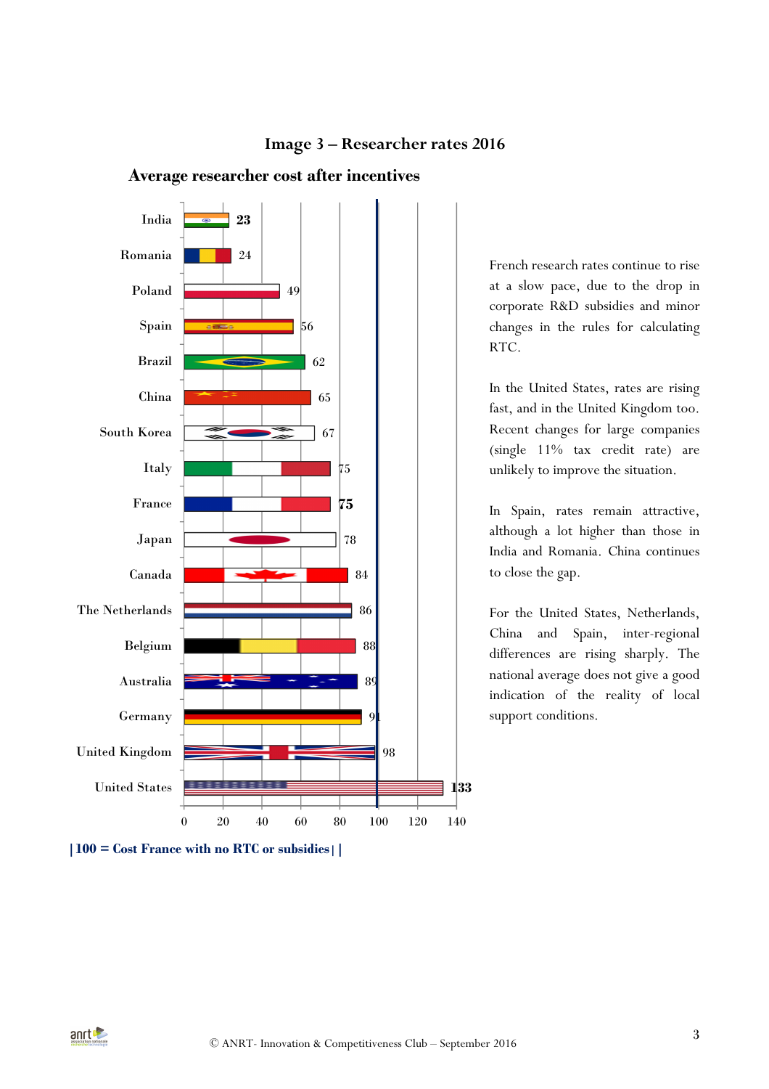

**Average researcher cost after incentives**

French research rates continue to rise at a slow pace, due to the drop in corporate R&D subsidies and minor changes in the rules for calculating RTC.

In the United States, rates are rising fast, and in the United Kingdom too. Recent changes for large companies (single 11% tax credit rate) are unlikely to improve the situation.

In Spain, rates remain attractive, although a lot higher than those in India and Romania. China continues to close the gap.

For the United States, Netherlands, China and Spain, inter-regional differences are rising sharply. The national average does not give a good indication of the reality of local support conditions.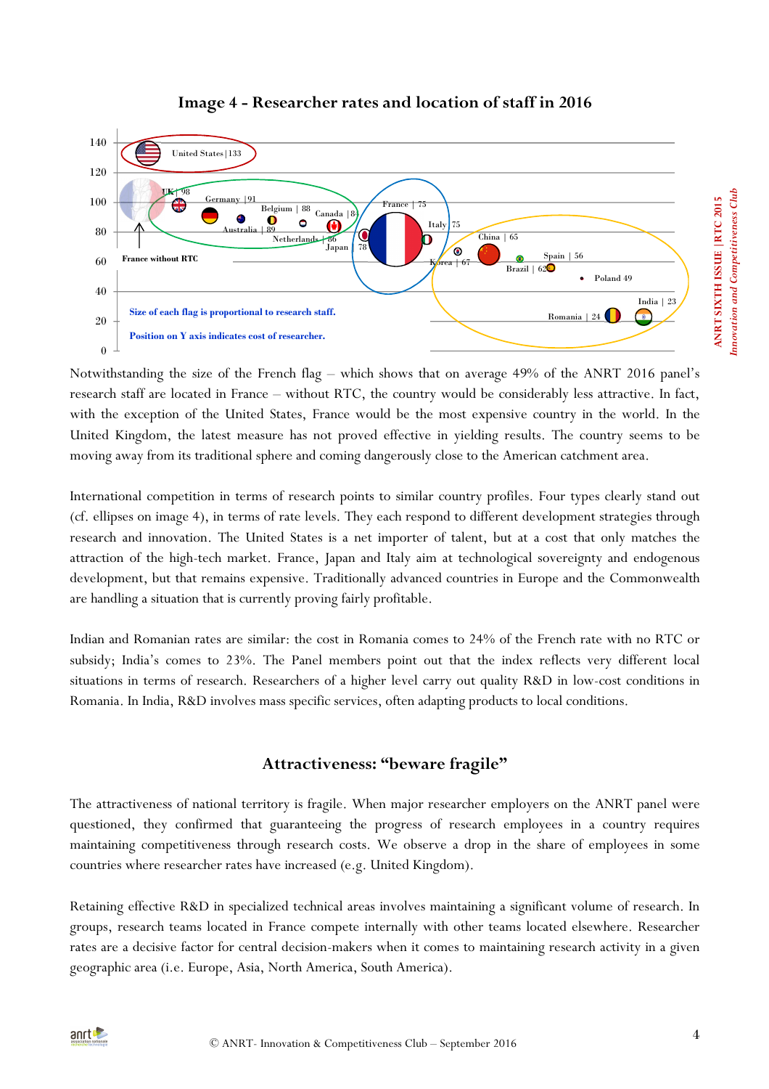

## **Image 4 - Researcher rates and location of staff in 2016**

Notwithstanding the size of the French flag – which shows that on average 49% of the ANRT 2016 panel's research staff are located in France – without RTC, the country would be considerably less attractive. In fact, with the exception of the United States, France would be the most expensive country in the world. In the United Kingdom, the latest measure has not proved effective in yielding results. The country seems to be moving away from its traditional sphere and coming dangerously close to the American catchment area.

International competition in terms of research points to similar country profiles. Four types clearly stand out (cf. ellipses on image 4), in terms of rate levels. They each respond to different development strategies through research and innovation. The United States is a net importer of talent, but at a cost that only matches the attraction of the high-tech market. France, Japan and Italy aim at technological sovereignty and endogenous development, but that remains expensive. Traditionally advanced countries in Europe and the Commonwealth are handling a situation that is currently proving fairly profitable.

Indian and Romanian rates are similar: the cost in Romania comes to 24% of the French rate with no RTC or subsidy; India's comes to 23%. The Panel members point out that the index reflects very different local situations in terms of research. Researchers of a higher level carry out quality R&D in low-cost conditions in Romania. In India, R&D involves mass specific services, often adapting products to local conditions.

## **Attractiveness: "beware fragile"**

The attractiveness of national territory is fragile. When major researcher employers on the ANRT panel were questioned, they confirmed that guaranteeing the progress of research employees in a country requires maintaining competitiveness through research costs. We observe a drop in the share of employees in some countries where researcher rates have increased (e.g. United Kingdom).

Retaining effective R&D in specialized technical areas involves maintaining a significant volume of research. In groups, research teams located in France compete internally with other teams located elsewhere. Researcher rates are a decisive factor for central decision-makers when it comes to maintaining research activity in a given geographic area (i.e. Europe, Asia, North America, South America).



*Innovation and Competitiveness Club* 

nnovation and Competitiveness Club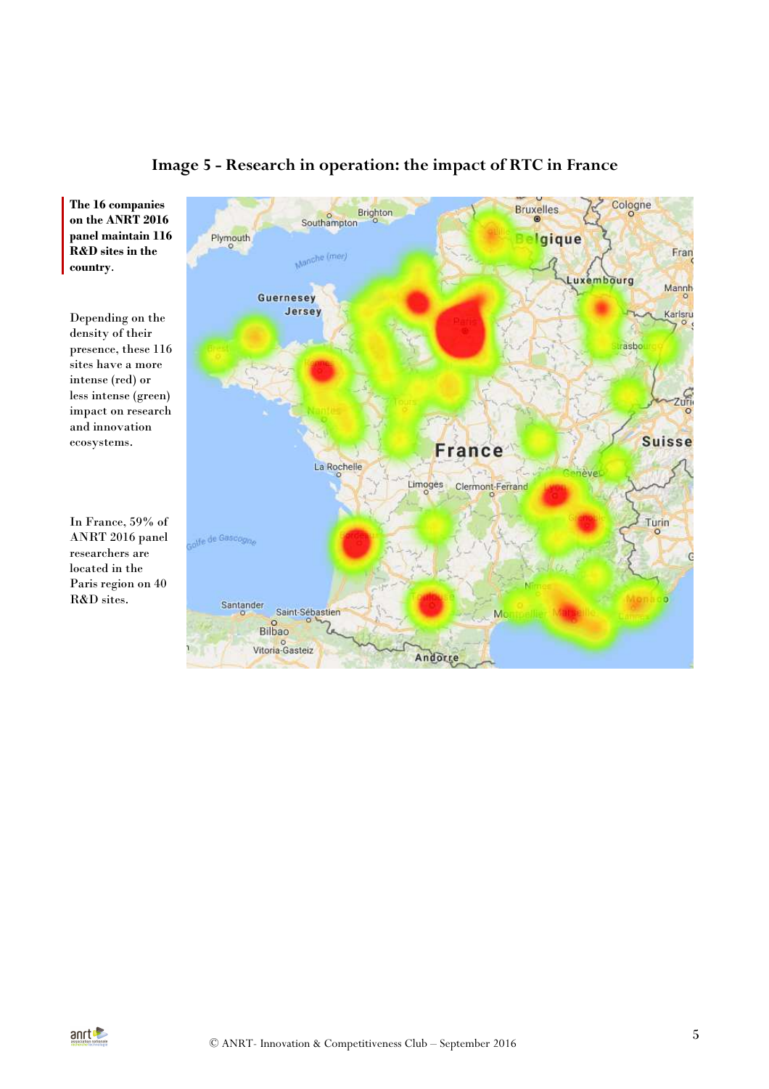

# **Image 5 - Research in operation: the impact of RTC in France**

**The 16 companies on the ANRT 2016 panel maintain 116 R&D sites in the country**.

Depending on the density of their presence, these 116 sites have a more intense (red) or less intense (green) impact on research and innovation ecosystems.

In France, 59% of ANRT 2016 panel researchers are located in the Paris region on 40 R&D sites.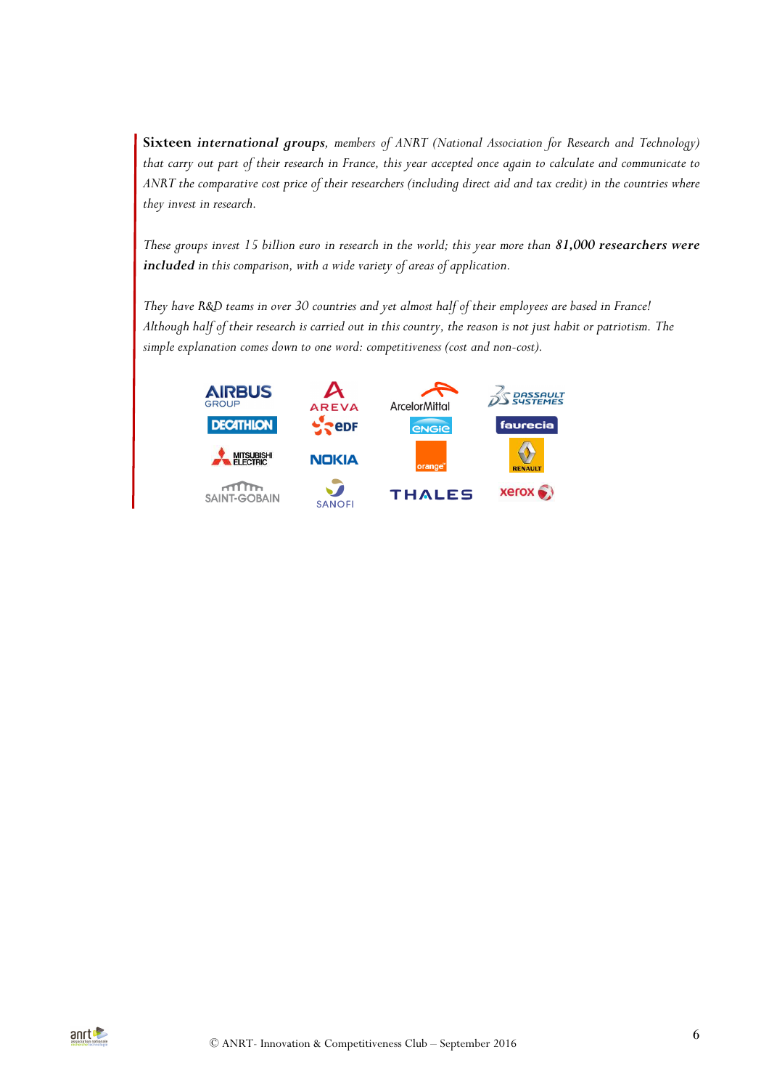**Sixteen** *international groups, members of ANRT (National Association for Research and Technology) that carry out part of their research in France, this year accepted once again to calculate and communicate to ANRT the comparative cost price of their researchers (including direct aid and tax credit) in the countries where they invest in research.* 

*These groups invest 15 billion euro in research in the world; this year more than 81,000 researchers were included in this comparison, with a wide variety of areas of application.* 

*They have R&D teams in over 30 countries and yet almost half of their employees are based in France! Although half of their research is carried out in this country, the reason is not just habit or patriotism. The simple explanation comes down to one word: competitiveness (cost and non-cost).*